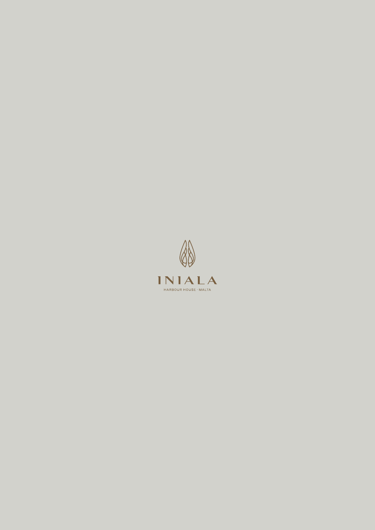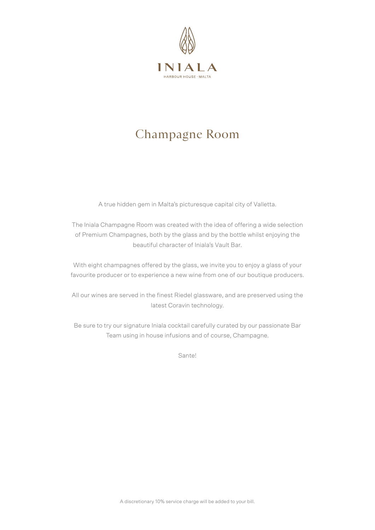

# Champagne Room

A true hidden gem in Malta's picturesque capital city of Valletta.

The Iniala Champagne Room was created with the idea of offering a wide selection of Premium Champagnes, both by the glass and by the bottle whilst enjoying the beautiful character of Iniala's Vault Bar.

With eight champagnes offered by the glass, we invite you to enjoy a glass of your favourite producer or to experience a new wine from one of our boutique producers.

All our wines are served in the finest Riedel glassware, and are preserved using the latest Coravin technology.

Be sure to try our signature Iniala cocktail carefully curated by our passionate Bar Team using in house infusions and of course, Champagne.

Sante!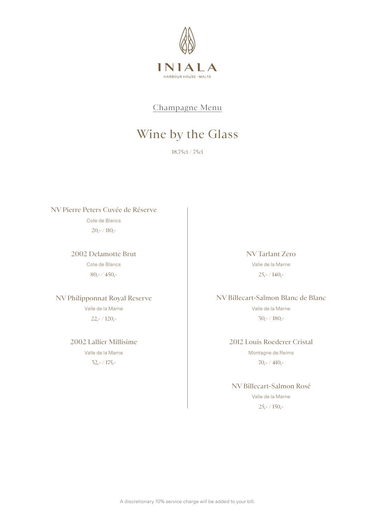

Champagne Menu

# Wine by the Glass

18.75cl / 75cl

NV Pierre Peters Cuvée de Réserve Cote de Blancs 20,- / 110,-

> 2002 Delamotte Brut Cote de Blancs 80,- / 450,-

#### NV Philipponnat Royal Reserve

Valle de la Marne 22,- / 120,-

2002 Lallier Millisime Valle de la Marne

32,- / 175,-

NV Tarlant Zero Valle de la Marne  $25,-/140,-$ 

NV Billecart-Salmon Blanc de Blanc Valle de la Marne 30,- / 180,-

> 2012 Louis Roederer Cristal Montagne de Reims 70,- / 410,-

NV Billecart-Salmon Rosé Valle de la Marne 25,- / 150,-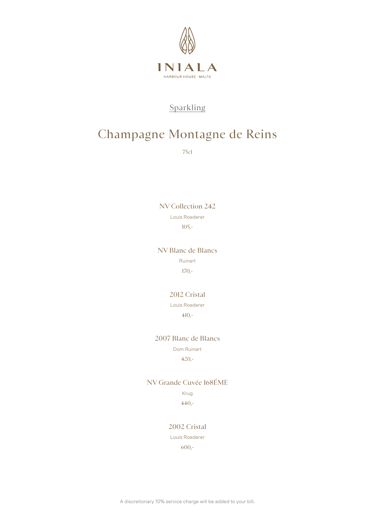

## Champagne Montagne de Reins

75cl

NV Collection 242 Louis Roederer 105,-

NV Blanc de Blancs

Ruinart

170,-

### 2012 Cristal

Louis Roederer

410,-

### 2007 Blanc de Blancs

Dom Ruinart

420,-

NV Grande Cuvée 168ÉME

Krug 440,-

2002 Cristal

Louis Roederer

600,-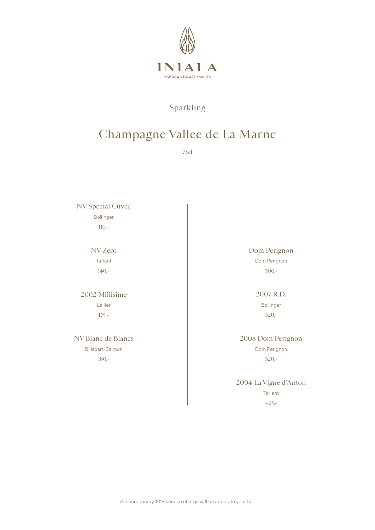

## Champagne Vallee de La Marne

75cl

NV Special Cuvée

Bollinger

 $110,-$ 

NV Zero Tarlant 140,-

## 2002 Millisime Lallier

175,-

### NV Blanc de Blancs

Billecart-Salmon 180,-

### Dom Perignon

Dom Perignon 300,-

### 2007 R.D.

Bollinger 320,-

### 2008 Dom Perignon

Dom Perignon 320,-

## 2004 La Vigne d'Anton **Tarlant**

425,-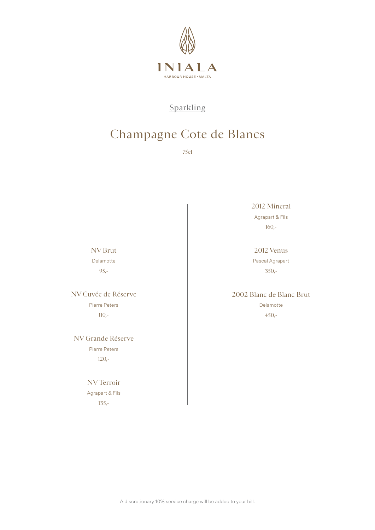

# Champagne Cote de Blancs

75cl

2012 Mineral

Agrapart & Fils 160,-

### 2012 Venus

Pascal Agrapart 350,-

## 2002 Blanc de Blanc Brut

Delamotte 450,-

### NV Brut Delamotte

95,-

### NV Cuvée de Réserve Pierre Peters 110,-

### NV Grande Réserve Pierre Peters 120,-

## NV Terroir

Agrapart & Fils 135,-